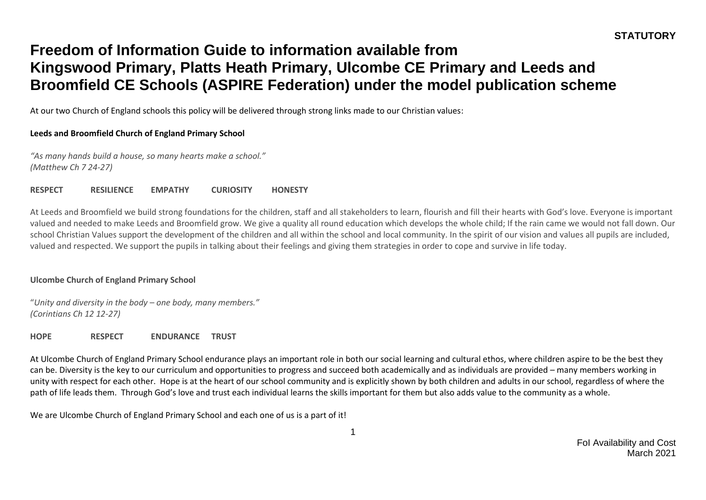At our two Church of England schools this policy will be delivered through strong links made to our Christian values:

#### **Leeds and Broomfield Church of England Primary School**

*"As many hands build a house, so many hearts make a school." (Matthew Ch 7 24-27)*

**RESPECT RESILIENCE EMPATHY CURIOSITY HONESTY**

At Leeds and Broomfield we build strong foundations for the children, staff and all stakeholders to learn, flourish and fill their hearts with God's love. Everyone is important valued and needed to make Leeds and Broomfield grow. We give a quality all round education which develops the whole child; If the rain came we would not fall down. Our school Christian Values support the development of the children and all within the school and local community. In the spirit of our vision and values all pupils are included, valued and respected. We support the pupils in talking about their feelings and giving them strategies in order to cope and survive in life today.

#### **Ulcombe Church of England Primary School**

"*Unity and diversity in the body – one body, many members." (Corintians Ch 12 12-27)*

**HOPE RESPECT ENDURANCE TRUST**

At Ulcombe Church of England Primary School endurance plays an important role in both our social learning and cultural ethos, where children aspire to be the best they can be. Diversity is the key to our curriculum and opportunities to progress and succeed both academically and as individuals are provided – many members working in unity with respect for each other. Hope is at the heart of our school community and is explicitly shown by both children and adults in our school, regardless of where the path of life leads them. Through God's love and trust each individual learns the skills important for them but also adds value to the community as a whole.

We are Ulcombe Church of England Primary School and each one of us is a part of it!

1

FoI Availability and Cost March 2021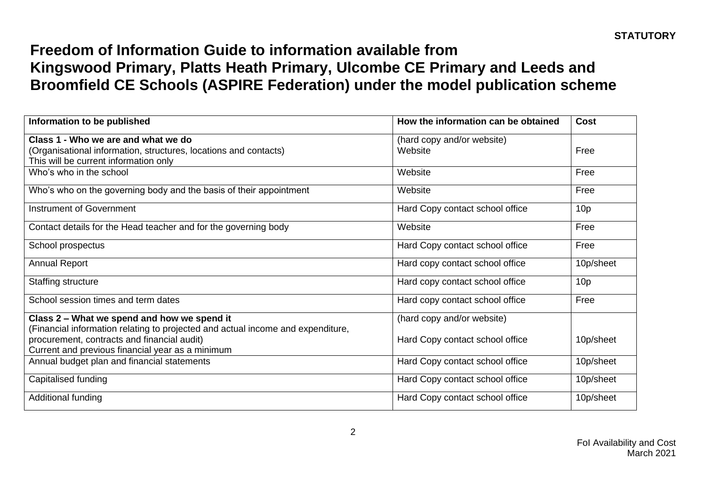| Information to be published                                                                                                                                                        | How the information can be obtained   | <b>Cost</b>     |
|------------------------------------------------------------------------------------------------------------------------------------------------------------------------------------|---------------------------------------|-----------------|
| Class 1 - Who we are and what we do<br>(Organisational information, structures, locations and contacts)<br>This will be current information only                                   | (hard copy and/or website)<br>Website | Free            |
| Who's who in the school                                                                                                                                                            | Website                               | Free            |
| Who's who on the governing body and the basis of their appointment                                                                                                                 | Website                               | Free            |
| Instrument of Government                                                                                                                                                           | Hard Copy contact school office       | 10 <sub>p</sub> |
| Contact details for the Head teacher and for the governing body                                                                                                                    | Website                               | Free            |
| School prospectus                                                                                                                                                                  | Hard Copy contact school office       | Free            |
| <b>Annual Report</b>                                                                                                                                                               | Hard copy contact school office       | 10p/sheet       |
| <b>Staffing structure</b>                                                                                                                                                          | Hard copy contact school office       | 10 <sub>p</sub> |
| School session times and term dates                                                                                                                                                | Hard copy contact school office       | Free            |
| Class 2 – What we spend and how we spend it                                                                                                                                        | (hard copy and/or website)            |                 |
| (Financial information relating to projected and actual income and expenditure,<br>procurement, contracts and financial audit)<br>Current and previous financial year as a minimum | Hard Copy contact school office       | 10p/sheet       |
| Annual budget plan and financial statements                                                                                                                                        | Hard Copy contact school office       | 10p/sheet       |
| Capitalised funding                                                                                                                                                                | Hard Copy contact school office       | 10p/sheet       |
| Additional funding                                                                                                                                                                 | Hard Copy contact school office       | 10p/sheet       |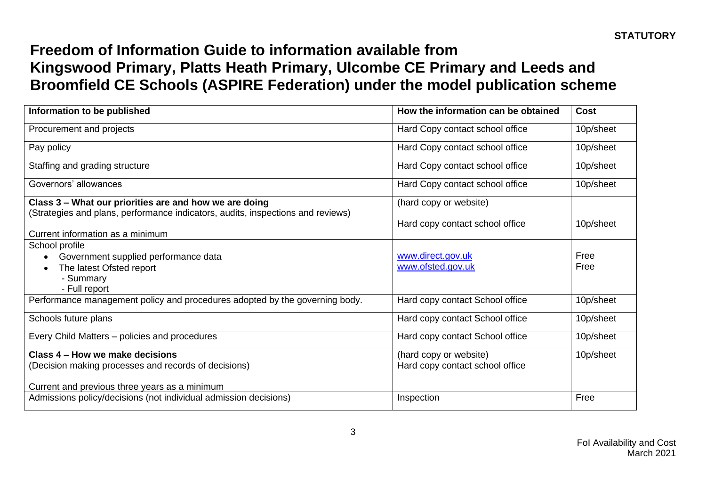| Information to be published                                                                                         | How the information can be obtained    | Cost         |
|---------------------------------------------------------------------------------------------------------------------|----------------------------------------|--------------|
| Procurement and projects                                                                                            | Hard Copy contact school office        | 10p/sheet    |
| Pay policy                                                                                                          | Hard Copy contact school office        | 10p/sheet    |
| Staffing and grading structure                                                                                      | Hard Copy contact school office        | 10p/sheet    |
| Governors' allowances                                                                                               | Hard Copy contact school office        | 10p/sheet    |
| Class 3 - What our priorities are and how we are doing                                                              | (hard copy or website)                 |              |
| (Strategies and plans, performance indicators, audits, inspections and reviews)<br>Current information as a minimum | Hard copy contact school office        | 10p/sheet    |
| School profile                                                                                                      |                                        |              |
| Government supplied performance data                                                                                | www.direct.gov.uk<br>www.ofsted.gov.uk | Free<br>Free |
| The latest Ofsted report<br>- Summary                                                                               |                                        |              |
| - Full report                                                                                                       |                                        |              |
| Performance management policy and procedures adopted by the governing body.                                         | Hard copy contact School office        | 10p/sheet    |
| Schools future plans                                                                                                | Hard copy contact School office        | 10p/sheet    |
| Every Child Matters - policies and procedures                                                                       | Hard copy contact School office        | 10p/sheet    |
| Class 4 – How we make decisions                                                                                     | (hard copy or website)                 | 10p/sheet    |
| (Decision making processes and records of decisions)                                                                | Hard copy contact school office        |              |
| Current and previous three years as a minimum                                                                       |                                        |              |
| Admissions policy/decisions (not individual admission decisions)                                                    | Inspection                             | Free         |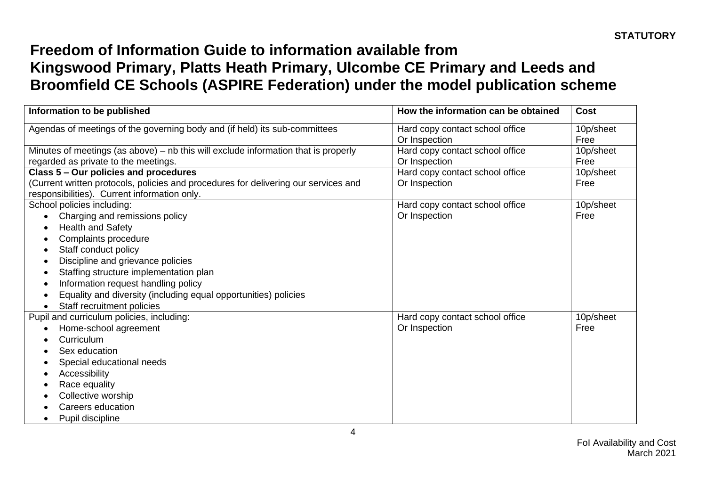| Information to be published                                                                                                         | How the information can be obtained              | <b>Cost</b>       |
|-------------------------------------------------------------------------------------------------------------------------------------|--------------------------------------------------|-------------------|
| Agendas of meetings of the governing body and (if held) its sub-committees                                                          | Hard copy contact school office<br>Or Inspection | 10p/sheet<br>Free |
| Minutes of meetings (as above) – nb this will exclude information that is properly<br>regarded as private to the meetings.          | Hard copy contact school office<br>Or Inspection | 10p/sheet<br>Free |
| Class 5 - Our policies and procedures                                                                                               | Hard copy contact school office                  | 10p/sheet         |
| (Current written protocols, policies and procedures for delivering our services and<br>responsibilities). Current information only. | Or Inspection                                    | Free              |
| School policies including:                                                                                                          | Hard copy contact school office                  | 10p/sheet         |
| Charging and remissions policy<br>$\bullet$                                                                                         | Or Inspection                                    | Free              |
| <b>Health and Safety</b><br>٠                                                                                                       |                                                  |                   |
| Complaints procedure<br>$\bullet$                                                                                                   |                                                  |                   |
| Staff conduct policy<br>٠                                                                                                           |                                                  |                   |
| Discipline and grievance policies<br>$\bullet$                                                                                      |                                                  |                   |
| Staffing structure implementation plan<br>٠                                                                                         |                                                  |                   |
| Information request handling policy<br>٠                                                                                            |                                                  |                   |
| Equality and diversity (including equal opportunities) policies<br>٠                                                                |                                                  |                   |
| Staff recruitment policies<br>$\bullet$                                                                                             |                                                  |                   |
| Pupil and curriculum policies, including:                                                                                           | Hard copy contact school office                  | 10p/sheet         |
| Home-school agreement<br>$\bullet$                                                                                                  | Or Inspection                                    | Free              |
| Curriculum<br>$\bullet$                                                                                                             |                                                  |                   |
| Sex education<br>$\bullet$                                                                                                          |                                                  |                   |
| Special educational needs<br>٠                                                                                                      |                                                  |                   |
| Accessibility<br>٠                                                                                                                  |                                                  |                   |
| Race equality<br>٠                                                                                                                  |                                                  |                   |
| Collective worship<br>$\bullet$                                                                                                     |                                                  |                   |
| Careers education                                                                                                                   |                                                  |                   |
| Pupil discipline                                                                                                                    |                                                  |                   |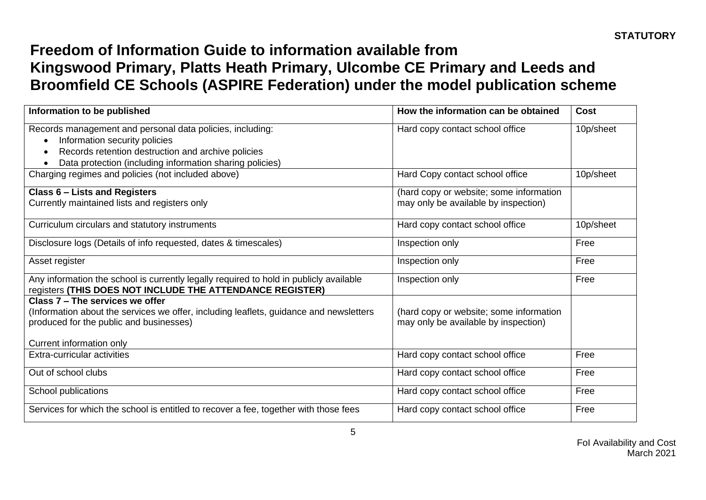| Information to be published                                                                                                                                                                                  | How the information can be obtained                                             | <b>Cost</b> |
|--------------------------------------------------------------------------------------------------------------------------------------------------------------------------------------------------------------|---------------------------------------------------------------------------------|-------------|
| Records management and personal data policies, including:<br>Information security policies<br>Records retention destruction and archive policies<br>Data protection (including information sharing policies) | Hard copy contact school office                                                 | 10p/sheet   |
| Charging regimes and policies (not included above)                                                                                                                                                           | Hard Copy contact school office                                                 | 10p/sheet   |
| <b>Class 6 - Lists and Registers</b><br>Currently maintained lists and registers only                                                                                                                        | (hard copy or website; some information<br>may only be available by inspection) |             |
| Curriculum circulars and statutory instruments                                                                                                                                                               | Hard copy contact school office                                                 | 10p/sheet   |
| Disclosure logs (Details of info requested, dates & timescales)                                                                                                                                              | Inspection only                                                                 | Free        |
| Asset register                                                                                                                                                                                               | Inspection only                                                                 | Free        |
| Any information the school is currently legally required to hold in publicly available<br>registers (THIS DOES NOT INCLUDE THE ATTENDANCE REGISTER)                                                          | Inspection only                                                                 | Free        |
| Class 7 – The services we offer<br>(Information about the services we offer, including leaflets, guidance and newsletters<br>produced for the public and businesses)<br>Current information only             | (hard copy or website; some information<br>may only be available by inspection) |             |
| Extra-curricular activities                                                                                                                                                                                  | Hard copy contact school office                                                 | Free        |
| Out of school clubs                                                                                                                                                                                          | Hard copy contact school office                                                 | Free        |
| School publications                                                                                                                                                                                          | Hard copy contact school office                                                 | Free        |
| Services for which the school is entitled to recover a fee, together with those fees                                                                                                                         | Hard copy contact school office                                                 | Free        |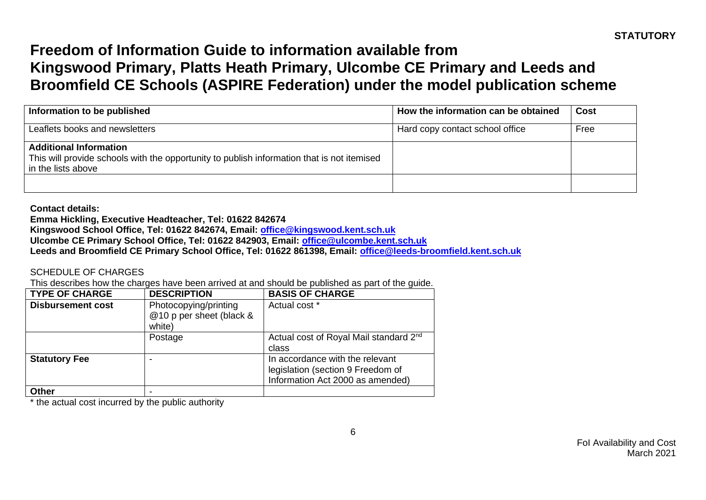| Information to be published                                                                                                                       | How the information can be obtained | <b>Cost</b> |
|---------------------------------------------------------------------------------------------------------------------------------------------------|-------------------------------------|-------------|
| Leaflets books and newsletters                                                                                                                    | Hard copy contact school office     | Free        |
| <b>Additional Information</b><br>This will provide schools with the opportunity to publish information that is not itemised<br>in the lists above |                                     |             |
|                                                                                                                                                   |                                     |             |

**Contact details:**

**Emma Hickling, Executive Headteacher, Tel: 01622 842674**

**Kingswood School Office, Tel: 01622 842674, Email: [office@kingswood.kent.sch.uk](mailto:office@kingswood.kent.sch.uk)**

**Ulcombe CE Primary School Office, Tel: 01622 842903, Email: [office@ulcombe.kent.sch.uk](mailto:office@ulcombe.kent.sch.uk)**

**Leeds and Broomfield CE Primary School Office, Tel: 01622 861398, Email: [office@leeds-broomfield.kent.sch.uk](mailto:office@leeds-broomfield.kent.sch.uk)**

SCHEDULE OF CHARGES

This describes how the charges have been arrived at and should be published as part of the guide.

| <b>TYPE OF CHARGE</b>    | <b>DESCRIPTION</b>                                          | <b>BASIS OF CHARGE</b>                                                                                   |
|--------------------------|-------------------------------------------------------------|----------------------------------------------------------------------------------------------------------|
| <b>Disbursement cost</b> | Photocopying/printing<br>@10 p per sheet (black &<br>white) | Actual cost *                                                                                            |
|                          | Postage                                                     | Actual cost of Royal Mail standard 2 <sup>nd</sup><br>class                                              |
| <b>Statutory Fee</b>     |                                                             | In accordance with the relevant<br>legislation (section 9 Freedom of<br>Information Act 2000 as amended) |
| <b>Other</b>             |                                                             |                                                                                                          |

\* the actual cost incurred by the public authority